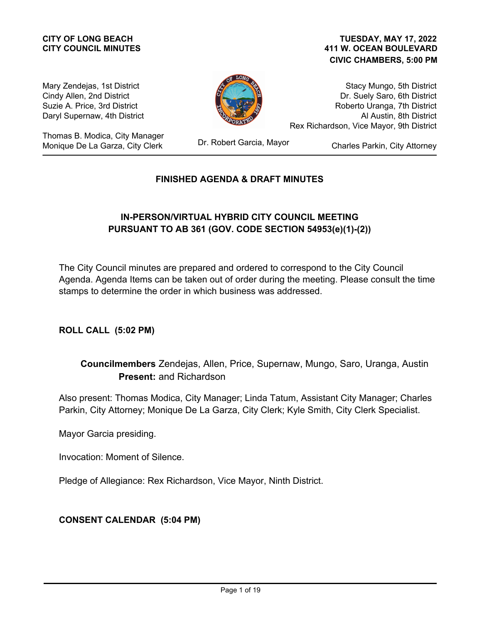# **CITY COUNCIL MINUTES**

#### **411 W. OCEAN BOULEVARD CIVIC CHAMBERS, 5:00 PM CITY OF LONG BEACH TUESDAY, MAY 17, 2022**

Mary Zendejas, 1st District Cindy Allen, 2nd District Suzie A. Price, 3rd District Daryl Supernaw, 4th District

Thomas B. Modica, City Manager Monique De La Garza, City Clerk



Stacy Mungo, 5th District Dr. Suely Saro, 6th District Roberto Uranga, 7th District Al Austin, 8th District Rex Richardson, Vice Mayor, 9th District

Dr. Robert Garcia, Mayor

Charles Parkin, City Attorney

#### **FINISHED AGENDA & DRAFT MINUTES**

#### **IN-PERSON/VIRTUAL HYBRID CITY COUNCIL MEETING PURSUANT TO AB 361 (GOV. CODE SECTION 54953(e)(1)-(2))**

The City Council minutes are prepared and ordered to correspond to the City Council Agenda. Agenda Items can be taken out of order during the meeting. Please consult the time stamps to determine the order in which business was addressed.

**ROLL CALL (5:02 PM)**

#### **Councilmembers** Zendejas, Allen, Price, Supernaw, Mungo, Saro, Uranga, Austin Present: and Richardson

Also present: Thomas Modica, City Manager; Linda Tatum, Assistant City Manager; Charles Parkin, City Attorney; Monique De La Garza, City Clerk; Kyle Smith, City Clerk Specialist.

Mayor Garcia presiding.

Invocation: Moment of Silence.

Pledge of Allegiance: Rex Richardson, Vice Mayor, Ninth District.

#### **CONSENT CALENDAR (5:04 PM)**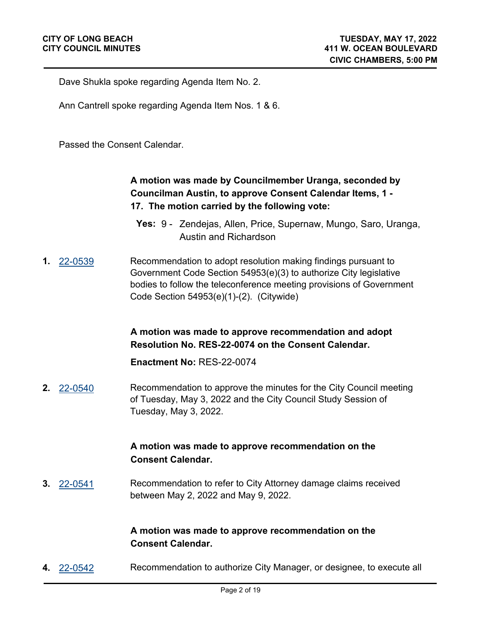Dave Shukla spoke regarding Agenda Item No. 2.

Ann Cantrell spoke regarding Agenda Item Nos. 1 & 6.

Passed the Consent Calendar.

# **A motion was made by Councilmember Uranga, seconded by Councilman Austin, to approve Consent Calendar Items, 1 - 17. The motion carried by the following vote:**

- **Yes:** 9 Zendejas, Allen, Price, Supernaw, Mungo, Saro, Uranga, Austin and Richardson
- **1.** [22-0539](http://longbeach.legistar.com/gateway.aspx?M=L&ID=239581) Recommendation to adopt resolution making findings pursuant to Government Code Section 54953(e)(3) to authorize City legislative bodies to follow the teleconference meeting provisions of Government Code Section 54953(e)(1)-(2). (Citywide)

**A motion was made to approve recommendation and adopt Resolution No. RES-22-0074 on the Consent Calendar.**

**Enactment No:** RES-22-0074

**2.** [22-0540](http://longbeach.legistar.com/gateway.aspx?M=L&ID=239583) Recommendation to approve the minutes for the City Council meeting of Tuesday, May 3, 2022 and the City Council Study Session of Tuesday, May 3, 2022.

#### **A motion was made to approve recommendation on the Consent Calendar.**

**3.** [22-0541](http://longbeach.legistar.com/gateway.aspx?M=L&ID=239584) Recommendation to refer to City Attorney damage claims received between May 2, 2022 and May 9, 2022.

#### **A motion was made to approve recommendation on the Consent Calendar.**

**4.** [22-0542](http://longbeach.legistar.com/gateway.aspx?M=L&ID=239405) Recommendation to authorize City Manager, or designee, to execute all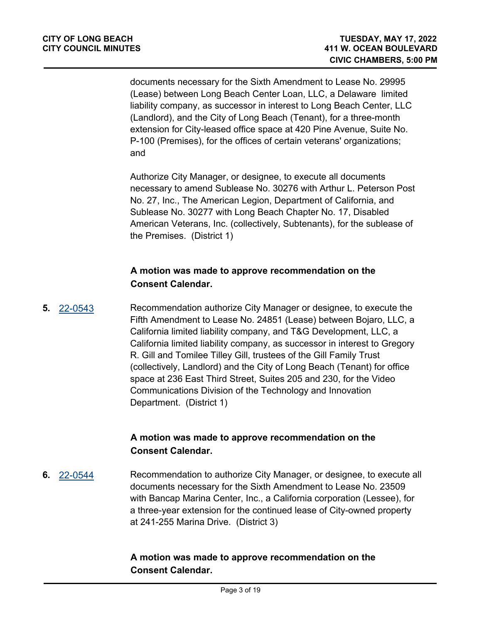documents necessary for the Sixth Amendment to Lease No. 29995 (Lease) between Long Beach Center Loan, LLC, a Delaware limited liability company, as successor in interest to Long Beach Center, LLC (Landlord), and the City of Long Beach (Tenant), for a three-month extension for City-leased office space at 420 Pine Avenue, Suite No. P-100 (Premises), for the offices of certain veterans' organizations; and

Authorize City Manager, or designee, to execute all documents necessary to amend Sublease No. 30276 with Arthur L. Peterson Post No. 27, Inc., The American Legion, Department of California, and Sublease No. 30277 with Long Beach Chapter No. 17, Disabled American Veterans, Inc. (collectively, Subtenants), for the sublease of the Premises. (District 1)

### **A motion was made to approve recommendation on the Consent Calendar.**

**5.** [22-0543](http://longbeach.legistar.com/gateway.aspx?M=L&ID=239406) Recommendation authorize City Manager or designee, to execute the Fifth Amendment to Lease No. 24851 (Lease) between Bojaro, LLC, a California limited liability company, and T&G Development, LLC, a California limited liability company, as successor in interest to Gregory R. Gill and Tomilee Tilley Gill, trustees of the Gill Family Trust (collectively, Landlord) and the City of Long Beach (Tenant) for office space at 236 East Third Street, Suites 205 and 230, for the Video Communications Division of the Technology and Innovation Department. (District 1)

# **A motion was made to approve recommendation on the Consent Calendar.**

**6.** [22-0544](http://longbeach.legistar.com/gateway.aspx?M=L&ID=239404) Recommendation to authorize City Manager, or designee, to execute all documents necessary for the Sixth Amendment to Lease No. 23509 with Bancap Marina Center, Inc., a California corporation (Lessee), for a three-year extension for the continued lease of City-owned property at 241-255 Marina Drive. (District 3)

# **A motion was made to approve recommendation on the Consent Calendar.**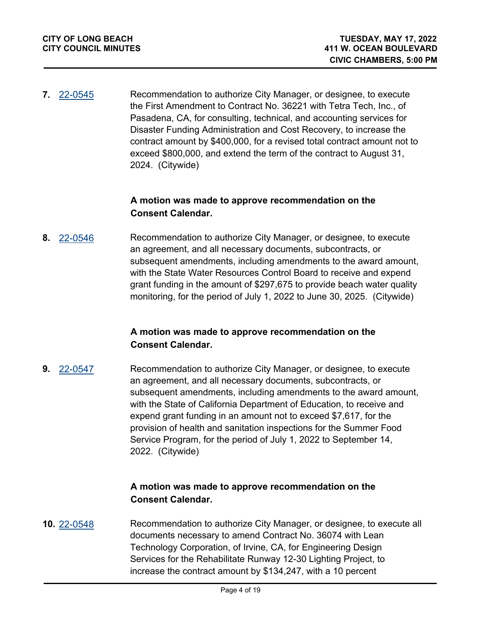**7.** [22-0545](http://longbeach.legistar.com/gateway.aspx?M=L&ID=239411) Recommendation to authorize City Manager, or designee, to execute the First Amendment to Contract No. 36221 with Tetra Tech, Inc., of Pasadena, CA, for consulting, technical, and accounting services for Disaster Funding Administration and Cost Recovery, to increase the contract amount by \$400,000, for a revised total contract amount not to exceed \$800,000, and extend the term of the contract to August 31, 2024. (Citywide)

#### **A motion was made to approve recommendation on the Consent Calendar.**

**8.** [22-0546](http://longbeach.legistar.com/gateway.aspx?M=L&ID=239467) Recommendation to authorize City Manager, or designee, to execute an agreement, and all necessary documents, subcontracts, or subsequent amendments, including amendments to the award amount, with the State Water Resources Control Board to receive and expend grant funding in the amount of \$297,675 to provide beach water quality monitoring, for the period of July 1, 2022 to June 30, 2025. (Citywide)

#### **A motion was made to approve recommendation on the Consent Calendar.**

**9.** [22-0547](http://longbeach.legistar.com/gateway.aspx?M=L&ID=239468) Recommendation to authorize City Manager, or designee, to execute an agreement, and all necessary documents, subcontracts, or subsequent amendments, including amendments to the award amount, with the State of California Department of Education, to receive and expend grant funding in an amount not to exceed \$7,617, for the provision of health and sanitation inspections for the Summer Food Service Program, for the period of July 1, 2022 to September 14, 2022. (Citywide)

#### **A motion was made to approve recommendation on the Consent Calendar.**

**10.** [22-0548](http://longbeach.legistar.com/gateway.aspx?M=L&ID=239412) Recommendation to authorize City Manager, or designee, to execute all documents necessary to amend Contract No. 36074 with Lean Technology Corporation, of Irvine, CA, for Engineering Design Services for the Rehabilitate Runway 12-30 Lighting Project, to increase the contract amount by \$134,247, with a 10 percent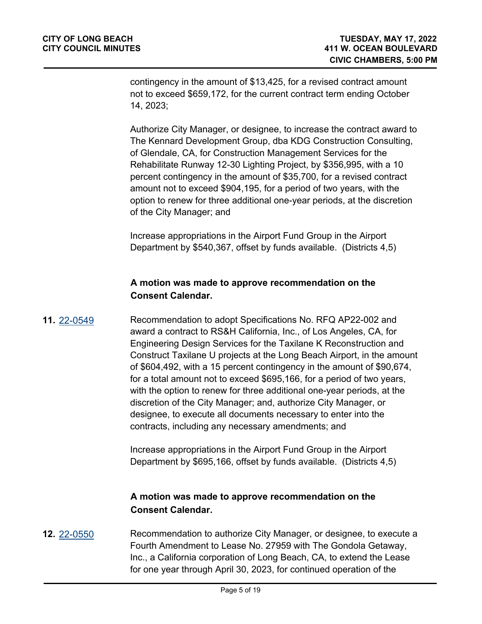contingency in the amount of \$13,425, for a revised contract amount not to exceed \$659,172, for the current contract term ending October 14, 2023;

Authorize City Manager, or designee, to increase the contract award to The Kennard Development Group, dba KDG Construction Consulting, of Glendale, CA, for Construction Management Services for the Rehabilitate Runway 12-30 Lighting Project, by \$356,995, with a 10 percent contingency in the amount of \$35,700, for a revised contract amount not to exceed \$904,195, for a period of two years, with the option to renew for three additional one-year periods, at the discretion of the City Manager; and

Increase appropriations in the Airport Fund Group in the Airport Department by \$540,367, offset by funds available. (Districts 4,5)

### **A motion was made to approve recommendation on the Consent Calendar.**

**11.** [22-0549](http://longbeach.legistar.com/gateway.aspx?M=L&ID=239414) Recommendation to adopt Specifications No. RFQ AP22-002 and award a contract to RS&H California, Inc., of Los Angeles, CA, for Engineering Design Services for the Taxilane K Reconstruction and Construct Taxilane U projects at the Long Beach Airport, in the amount of \$604,492, with a 15 percent contingency in the amount of \$90,674, for a total amount not to exceed \$695,166, for a period of two years, with the option to renew for three additional one-year periods, at the discretion of the City Manager; and, authorize City Manager, or designee, to execute all documents necessary to enter into the contracts, including any necessary amendments; and

> Increase appropriations in the Airport Fund Group in the Airport Department by \$695,166, offset by funds available. (Districts 4,5)

#### **A motion was made to approve recommendation on the Consent Calendar.**

**12.** [22-0550](http://longbeach.legistar.com/gateway.aspx?M=L&ID=239403) Recommendation to authorize City Manager, or designee, to execute a Fourth Amendment to Lease No. 27959 with The Gondola Getaway, Inc., a California corporation of Long Beach, CA, to extend the Lease for one year through April 30, 2023, for continued operation of the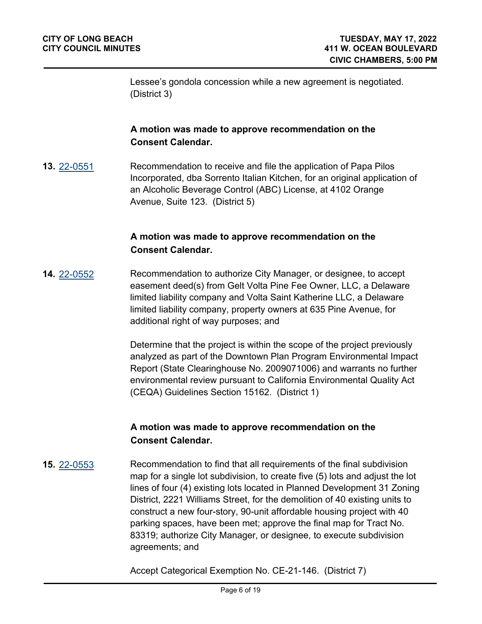Lessee's gondola concession while a new agreement is negotiated. (District 3)

#### **A motion was made to approve recommendation on the Consent Calendar.**

**13.** [22-0551](http://longbeach.legistar.com/gateway.aspx?M=L&ID=239416) Recommendation to receive and file the application of Papa Pilos Incorporated, dba Sorrento Italian Kitchen, for an original application of an Alcoholic Beverage Control (ABC) License, at 4102 Orange Avenue, Suite 123. (District 5)

#### **A motion was made to approve recommendation on the Consent Calendar.**

**14.** [22-0552](http://longbeach.legistar.com/gateway.aspx?M=L&ID=239469) Recommendation to authorize City Manager, or designee, to accept easement deed(s) from Gelt Volta Pine Fee Owner, LLC, a Delaware limited liability company and Volta Saint Katherine LLC, a Delaware limited liability company, property owners at 635 Pine Avenue, for additional right of way purposes; and

> Determine that the project is within the scope of the project previously analyzed as part of the Downtown Plan Program Environmental Impact Report (State Clearinghouse No. 2009071006) and warrants no further environmental review pursuant to California Environmental Quality Act (CEQA) Guidelines Section 15162. (District 1)

#### **A motion was made to approve recommendation on the Consent Calendar.**

**15.** [22-0553](http://longbeach.legistar.com/gateway.aspx?M=L&ID=239470) Recommendation to find that all requirements of the final subdivision map for a single lot subdivision, to create five (5) lots and adjust the lot lines of four (4) existing lots located in Planned Development 31 Zoning District, 2221 Williams Street, for the demolition of 40 existing units to construct a new four-story, 90-unit affordable housing project with 40 parking spaces, have been met; approve the final map for Tract No. 83319; authorize City Manager, or designee, to execute subdivision agreements; and

Accept Categorical Exemption No. CE-21-146. (District 7)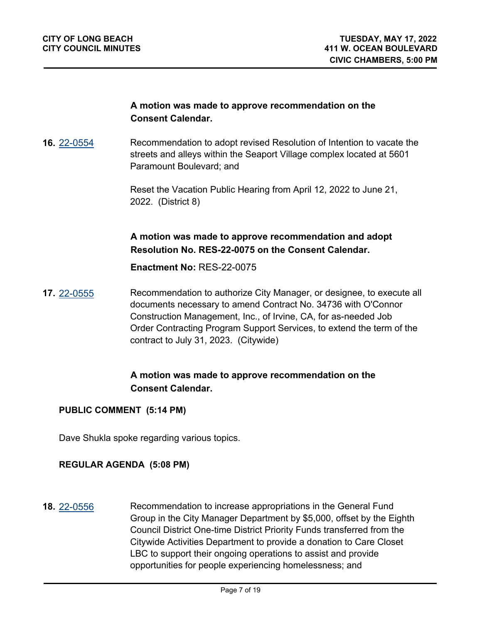#### **A motion was made to approve recommendation on the Consent Calendar.**

**16.** [22-0554](http://longbeach.legistar.com/gateway.aspx?M=L&ID=239471) Recommendation to adopt revised Resolution of Intention to vacate the streets and alleys within the Seaport Village complex located at 5601 Paramount Boulevard; and

> Reset the Vacation Public Hearing from April 12, 2022 to June 21, 2022. (District 8)

#### **A motion was made to approve recommendation and adopt Resolution No. RES-22-0075 on the Consent Calendar.**

**Enactment No:** RES-22-0075

**17.** [22-0555](http://longbeach.legistar.com/gateway.aspx?M=L&ID=239472) Recommendation to authorize City Manager, or designee, to execute all documents necessary to amend Contract No. 34736 with O'Connor Construction Management, Inc., of Irvine, CA, for as-needed Job Order Contracting Program Support Services, to extend the term of the contract to July 31, 2023. (Citywide)

# **A motion was made to approve recommendation on the Consent Calendar.**

#### **PUBLIC COMMENT (5:14 PM)**

Dave Shukla spoke regarding various topics.

#### **REGULAR AGENDA (5:08 PM)**

**18.** [22-0556](http://longbeach.legistar.com/gateway.aspx?M=L&ID=239585) Recommendation to increase appropriations in the General Fund Group in the City Manager Department by \$5,000, offset by the Eighth Council District One-time District Priority Funds transferred from the Citywide Activities Department to provide a donation to Care Closet LBC to support their ongoing operations to assist and provide opportunities for people experiencing homelessness; and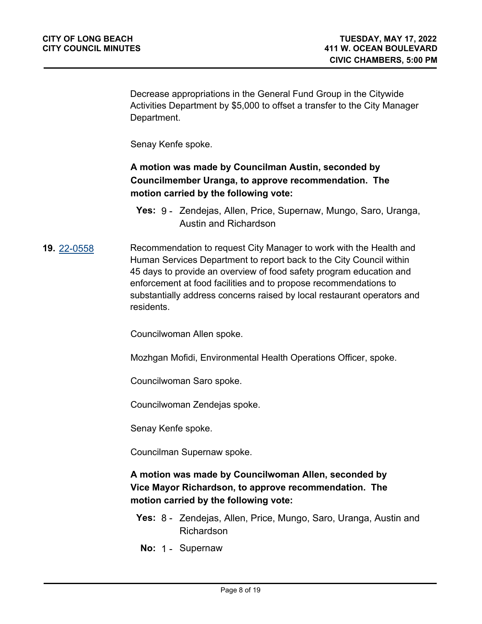Decrease appropriations in the General Fund Group in the Citywide Activities Department by \$5,000 to offset a transfer to the City Manager Department.

Senay Kenfe spoke.

# **A motion was made by Councilman Austin, seconded by Councilmember Uranga, to approve recommendation. The motion carried by the following vote:**

### **19.** [22-0558](http://longbeach.legistar.com/gateway.aspx?M=L&ID=239588) Recommendation to request City Manager to work with the Health and Human Services Department to report back to the City Council within 45 days to provide an overview of food safety program education and enforcement at food facilities and to propose recommendations to substantially address concerns raised by local restaurant operators and residents.

Councilwoman Allen spoke.

Mozhgan Mofidi, Environmental Health Operations Officer, spoke.

Councilwoman Saro spoke.

Councilwoman Zendejas spoke.

Senay Kenfe spoke.

Councilman Supernaw spoke.

#### **A motion was made by Councilwoman Allen, seconded by Vice Mayor Richardson, to approve recommendation. The motion carried by the following vote:**

- **Yes:** 8 Zendejas, Allen, Price, Mungo, Saro, Uranga, Austin and Richardson
- **No:** 1 Supernaw

**Yes:** 9 - Zendejas, Allen, Price, Supernaw, Mungo, Saro, Uranga, Austin and Richardson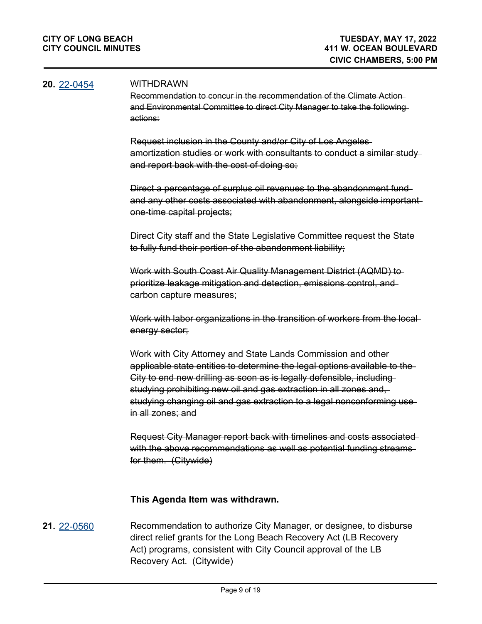#### **20.** [22-0454](http://longbeach.legistar.com/gateway.aspx?M=L&ID=239293) WITHDRAWN

Recommendation to concur in the recommendation of the Climate Action and Environmental Committee to direct City Manager to take the following actions:

Request inclusion in the County and/or City of Los Angeles amortization studies or work with consultants to conduct a similar study and report back with the cost of doing so;

Direct a percentage of surplus oil revenues to the abandonment fund and any other costs associated with abandonment, alongside important one-time capital projects;

Direct City staff and the State Legislative Committee request the State to fully fund their portion of the abandonment liability;

Work with South Coast Air Quality Management District (AQMD) to prioritize leakage mitigation and detection, emissions control, and carbon capture measures;

Work with labor organizations in the transition of workers from the local energy sector;

Work with City Attorney and State Lands Commission and other applicable state entities to determine the legal options available to the City to end new drilling as soon as is legally defensible, including studying prohibiting new oil and gas extraction in all zones and, studying changing oil and gas extraction to a legal nonconforming use in all zones; and

Request City Manager report back with timelines and costs associated with the above recommendations as well as potential funding streams for them. (Citywide)

#### **This Agenda Item was withdrawn.**

**21.** [22-0560](http://longbeach.legistar.com/gateway.aspx?M=L&ID=239463) Recommendation to authorize City Manager, or designee, to disburse direct relief grants for the Long Beach Recovery Act (LB Recovery Act) programs, consistent with City Council approval of the LB Recovery Act. (Citywide)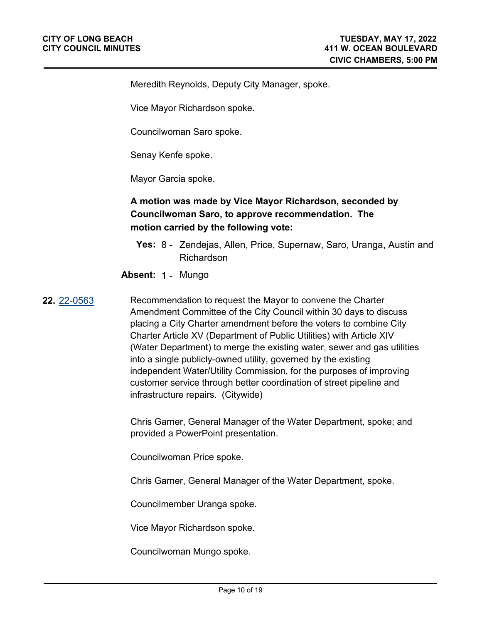Meredith Reynolds, Deputy City Manager, spoke.

Vice Mayor Richardson spoke.

Councilwoman Saro spoke.

Senay Kenfe spoke.

Mayor Garcia spoke.

# **A motion was made by Vice Mayor Richardson, seconded by Councilwoman Saro, to approve recommendation. The motion carried by the following vote:**

- **Yes:** 8 Zendejas, Allen, Price, Supernaw, Saro, Uranga, Austin and Richardson
- **Absent:** 1 Mungo

**22.** [22-0563](http://longbeach.legistar.com/gateway.aspx?M=L&ID=239590) Recommendation to request the Mayor to convene the Charter Amendment Committee of the City Council within 30 days to discuss placing a City Charter amendment before the voters to combine City Charter Article XV (Department of Public Utilities) with Article XIV (Water Department) to merge the existing water, sewer and gas utilities into a single publicly-owned utility, governed by the existing independent Water/Utility Commission, for the purposes of improving customer service through better coordination of street pipeline and infrastructure repairs. (Citywide)

> Chris Garner, General Manager of the Water Department, spoke; and provided a PowerPoint presentation.

Councilwoman Price spoke.

Chris Garner, General Manager of the Water Department, spoke.

Councilmember Uranga spoke.

Vice Mayor Richardson spoke.

Councilwoman Mungo spoke.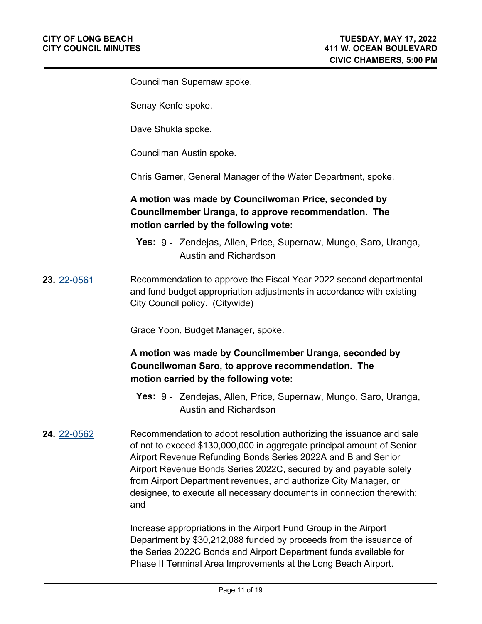Councilman Supernaw spoke.

Senay Kenfe spoke.

Dave Shukla spoke.

Councilman Austin spoke.

Chris Garner, General Manager of the Water Department, spoke.

# **A motion was made by Councilwoman Price, seconded by Councilmember Uranga, to approve recommendation. The motion carried by the following vote:**

- **Yes:** 9 Zendejas, Allen, Price, Supernaw, Mungo, Saro, Uranga, Austin and Richardson
- **23.** [22-0561](http://longbeach.legistar.com/gateway.aspx?M=L&ID=239410) Recommendation to approve the Fiscal Year 2022 second departmental and fund budget appropriation adjustments in accordance with existing City Council policy. (Citywide)

Grace Yoon, Budget Manager, spoke.

# **A motion was made by Councilmember Uranga, seconded by Councilwoman Saro, to approve recommendation. The motion carried by the following vote:**

- **Yes:** 9 Zendejas, Allen, Price, Supernaw, Mungo, Saro, Uranga, Austin and Richardson
- **24.** [22-0562](http://longbeach.legistar.com/gateway.aspx?M=L&ID=239408) Recommendation to adopt resolution authorizing the issuance and sale of not to exceed \$130,000,000 in aggregate principal amount of Senior Airport Revenue Refunding Bonds Series 2022A and B and Senior Airport Revenue Bonds Series 2022C, secured by and payable solely from Airport Department revenues, and authorize City Manager, or designee, to execute all necessary documents in connection therewith; and

Increase appropriations in the Airport Fund Group in the Airport Department by \$30,212,088 funded by proceeds from the issuance of the Series 2022C Bonds and Airport Department funds available for Phase II Terminal Area Improvements at the Long Beach Airport.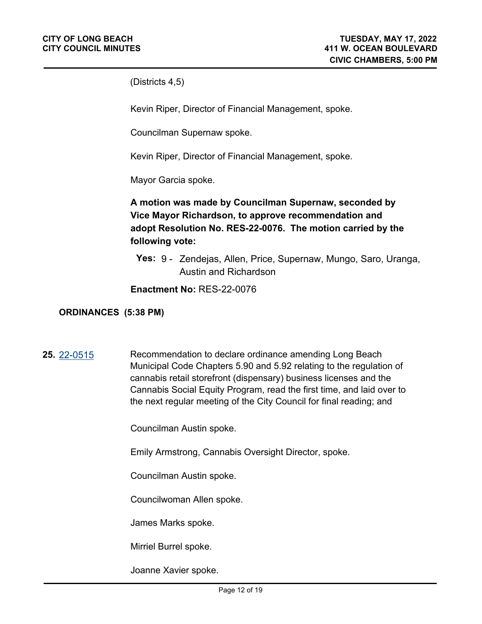(Districts 4,5)

Kevin Riper, Director of Financial Management, spoke.

Councilman Supernaw spoke.

Kevin Riper, Director of Financial Management, spoke.

Mayor Garcia spoke.

**A motion was made by Councilman Supernaw, seconded by Vice Mayor Richardson, to approve recommendation and adopt Resolution No. RES-22-0076. The motion carried by the following vote:**

**Yes:** 9 - Zendejas, Allen, Price, Supernaw, Mungo, Saro, Uranga, Austin and Richardson

**Enactment No:** RES-22-0076

#### **ORDINANCES (5:38 PM)**

**25.** [22-0515](http://longbeach.legistar.com/gateway.aspx?M=L&ID=239457) Recommendation to declare ordinance amending Long Beach Municipal Code Chapters 5.90 and 5.92 relating to the regulation of cannabis retail storefront (dispensary) business licenses and the Cannabis Social Equity Program, read the first time, and laid over to the next regular meeting of the City Council for final reading; and

Councilman Austin spoke.

Emily Armstrong, Cannabis Oversight Director, spoke.

Councilman Austin spoke.

Councilwoman Allen spoke.

James Marks spoke.

Mirriel Burrel spoke.

Joanne Xavier spoke.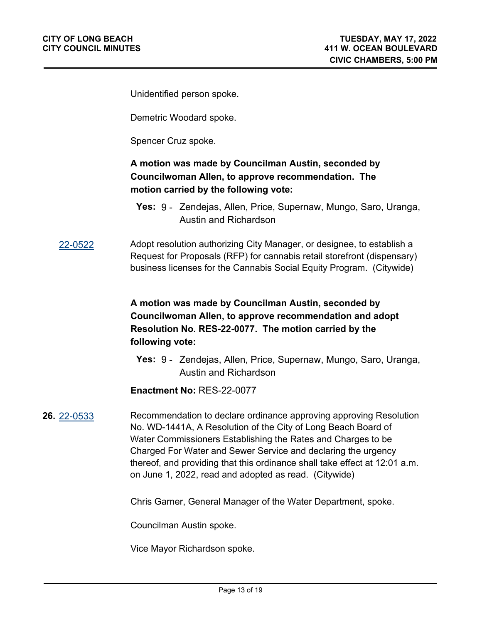Unidentified person spoke.

Demetric Woodard spoke.

Spencer Cruz spoke.

# **A motion was made by Councilman Austin, seconded by Councilwoman Allen, to approve recommendation. The motion carried by the following vote:**

- **Yes:** 9 Zendejas, Allen, Price, Supernaw, Mungo, Saro, Uranga, Austin and Richardson
- [22-0522](http://longbeach.legistar.com/gateway.aspx?M=L&ID=239255) Adopt resolution authorizing City Manager, or designee, to establish a Request for Proposals (RFP) for cannabis retail storefront (dispensary) business licenses for the Cannabis Social Equity Program. (Citywide)

# **A motion was made by Councilman Austin, seconded by Councilwoman Allen, to approve recommendation and adopt Resolution No. RES-22-0077. The motion carried by the following vote:**

**Yes:** 9 - Zendejas, Allen, Price, Supernaw, Mungo, Saro, Uranga, Austin and Richardson

**Enactment No:** RES-22-0077

#### **26.** [22-0533](http://longbeach.legistar.com/gateway.aspx?M=L&ID=239550) Recommendation to declare ordinance approving approving Resolution No. WD-1441A, A Resolution of the City of Long Beach Board of Water Commissioners Establishing the Rates and Charges to be Charged For Water and Sewer Service and declaring the urgency thereof, and providing that this ordinance shall take effect at 12:01 a.m. on June 1, 2022, read and adopted as read. (Citywide)

Chris Garner, General Manager of the Water Department, spoke.

Councilman Austin spoke.

Vice Mayor Richardson spoke.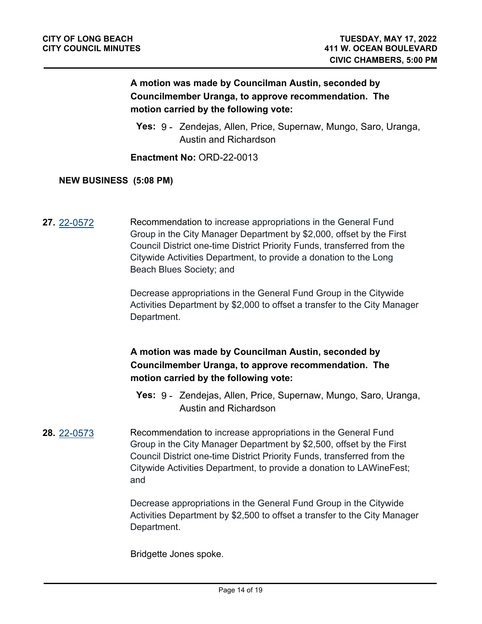# **A motion was made by Councilman Austin, seconded by Councilmember Uranga, to approve recommendation. The motion carried by the following vote:**

**Yes:** 9 - Zendejas, Allen, Price, Supernaw, Mungo, Saro, Uranga, Austin and Richardson

**Enactment No:** ORD-22-0013

#### **NEW BUSINESS (5:08 PM)**

**27.** [22-0572](http://longbeach.legistar.com/gateway.aspx?M=L&ID=239629) Recommendation to increase appropriations in the General Fund Group in the City Manager Department by \$2,000, offset by the First Council District one-time District Priority Funds, transferred from the Citywide Activities Department, to provide a donation to the Long Beach Blues Society; and

> Decrease appropriations in the General Fund Group in the Citywide Activities Department by \$2,000 to offset a transfer to the City Manager Department.

# **A motion was made by Councilman Austin, seconded by Councilmember Uranga, to approve recommendation. The motion carried by the following vote:**

- **Yes:** 9 Zendejas, Allen, Price, Supernaw, Mungo, Saro, Uranga, Austin and Richardson
- **28.** [22-0573](http://longbeach.legistar.com/gateway.aspx?M=L&ID=239630) Recommendation to increase appropriations in the General Fund Group in the City Manager Department by \$2,500, offset by the First Council District one-time District Priority Funds, transferred from the Citywide Activities Department, to provide a donation to LAWineFest; and

Decrease appropriations in the General Fund Group in the Citywide Activities Department by \$2,500 to offset a transfer to the City Manager Department.

Bridgette Jones spoke.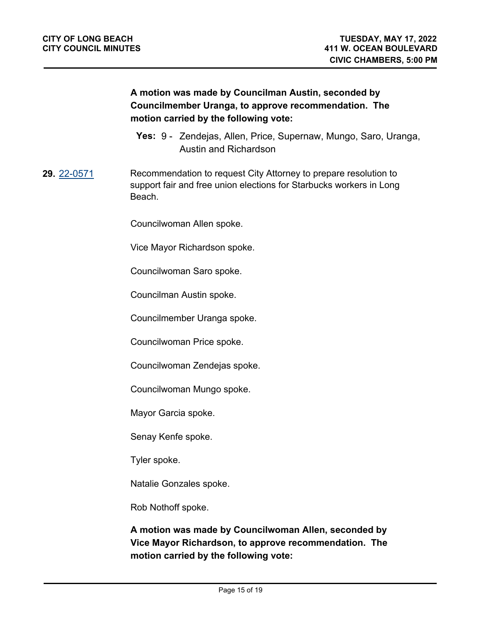# **A motion was made by Councilman Austin, seconded by Councilmember Uranga, to approve recommendation. The motion carried by the following vote:**

**Yes:** 9 - Zendejas, Allen, Price, Supernaw, Mungo, Saro, Uranga, Austin and Richardson

**29.** [22-0571](http://longbeach.legistar.com/gateway.aspx?M=L&ID=239631) Recommendation to request City Attorney to prepare resolution to support fair and free union elections for Starbucks workers in Long Beach.

Councilwoman Allen spoke.

Vice Mayor Richardson spoke.

Councilwoman Saro spoke.

Councilman Austin spoke.

Councilmember Uranga spoke.

Councilwoman Price spoke.

Councilwoman Zendejas spoke.

Councilwoman Mungo spoke.

Mayor Garcia spoke.

Senay Kenfe spoke.

Tyler spoke.

Natalie Gonzales spoke.

Rob Nothoff spoke.

**A motion was made by Councilwoman Allen, seconded by Vice Mayor Richardson, to approve recommendation. The motion carried by the following vote:**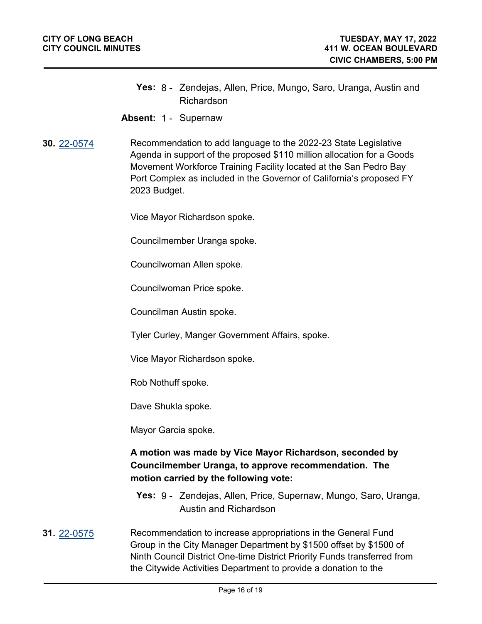- **Yes:** 8 Zendejas, Allen, Price, Mungo, Saro, Uranga, Austin and Richardson
- **Absent:** 1 Supernaw
- **30.** [22-0574](http://longbeach.legistar.com/gateway.aspx?M=L&ID=239633) Recommendation to add language to the 2022-23 State Legislative Agenda in support of the proposed \$110 million allocation for a Goods Movement Workforce Training Facility located at the San Pedro Bay Port Complex as included in the Governor of California's proposed FY 2023 Budget.

Vice Mayor Richardson spoke.

Councilmember Uranga spoke.

Councilwoman Allen spoke.

Councilwoman Price spoke.

Councilman Austin spoke.

Tyler Curley, Manger Government Affairs, spoke.

Vice Mayor Richardson spoke.

Rob Nothuff spoke.

Dave Shukla spoke.

Mayor Garcia spoke.

#### **A motion was made by Vice Mayor Richardson, seconded by Councilmember Uranga, to approve recommendation. The motion carried by the following vote:**

- **Yes:** 9 Zendejas, Allen, Price, Supernaw, Mungo, Saro, Uranga, Austin and Richardson
- **31.** [22-0575](http://longbeach.legistar.com/gateway.aspx?M=L&ID=239634) Recommendation to increase appropriations in the General Fund Group in the City Manager Department by \$1500 offset by \$1500 of Ninth Council District One-time District Priority Funds transferred from the Citywide Activities Department to provide a donation to the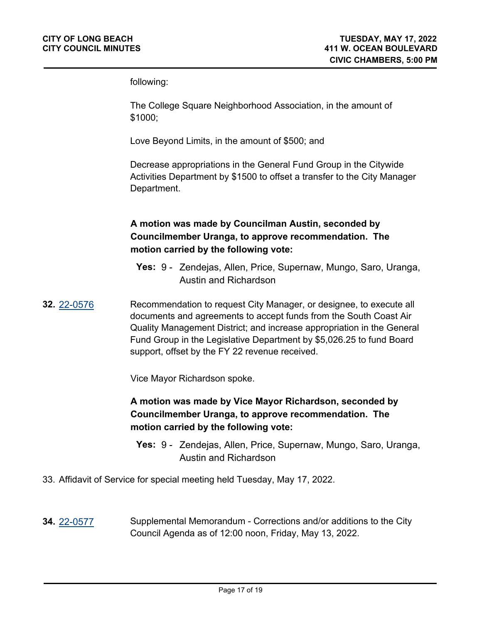following:

The College Square Neighborhood Association, in the amount of \$1000;

Love Beyond Limits, in the amount of \$500; and

Decrease appropriations in the General Fund Group in the Citywide Activities Department by \$1500 to offset a transfer to the City Manager Department.

# **A motion was made by Councilman Austin, seconded by Councilmember Uranga, to approve recommendation. The motion carried by the following vote:**

- **Yes:** 9 Zendejas, Allen, Price, Supernaw, Mungo, Saro, Uranga, Austin and Richardson
- **32.** [22-0576](http://longbeach.legistar.com/gateway.aspx?M=L&ID=239635) Recommendation to request City Manager, or designee, to execute all documents and agreements to accept funds from the South Coast Air Quality Management District; and increase appropriation in the General Fund Group in the Legislative Department by \$5,026.25 to fund Board support, offset by the FY 22 revenue received.

Vice Mayor Richardson spoke.

# **A motion was made by Vice Mayor Richardson, seconded by Councilmember Uranga, to approve recommendation. The motion carried by the following vote:**

- **Yes:** 9 Zendejas, Allen, Price, Supernaw, Mungo, Saro, Uranga, Austin and Richardson
- 33. Affidavit of Service for special meeting held Tuesday, May 17, 2022.
- **34.** [22-0577](http://longbeach.legistar.com/gateway.aspx?M=L&ID=239640) Supplemental Memorandum Corrections and/or additions to the City Council Agenda as of 12:00 noon, Friday, May 13, 2022.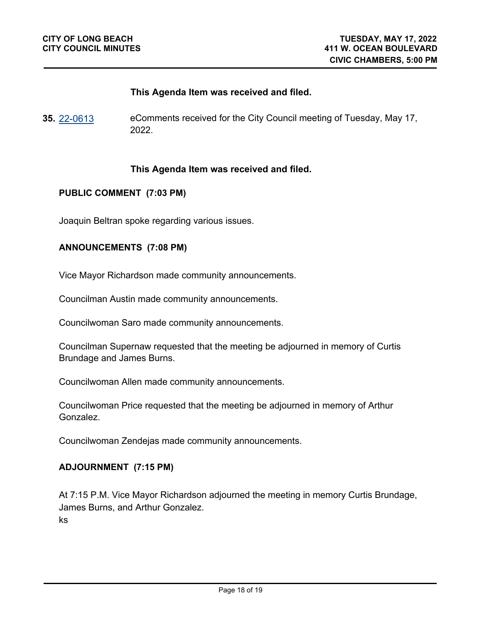#### **This Agenda Item was received and filed.**

**35.** [22-0613](http://longbeach.legistar.com/gateway.aspx?M=L&ID=239675) eComments received for the City Council meeting of Tuesday, May 17, 2022.

#### **This Agenda Item was received and filed.**

#### **PUBLIC COMMENT (7:03 PM)**

Joaquin Beltran spoke regarding various issues.

#### **ANNOUNCEMENTS (7:08 PM)**

Vice Mayor Richardson made community announcements.

Councilman Austin made community announcements.

Councilwoman Saro made community announcements.

Councilman Supernaw requested that the meeting be adjourned in memory of Curtis Brundage and James Burns.

Councilwoman Allen made community announcements.

Councilwoman Price requested that the meeting be adjourned in memory of Arthur Gonzalez.

Councilwoman Zendejas made community announcements.

#### **ADJOURNMENT (7:15 PM)**

At 7:15 P.M. Vice Mayor Richardson adjourned the meeting in memory Curtis Brundage, James Burns, and Arthur Gonzalez. ks